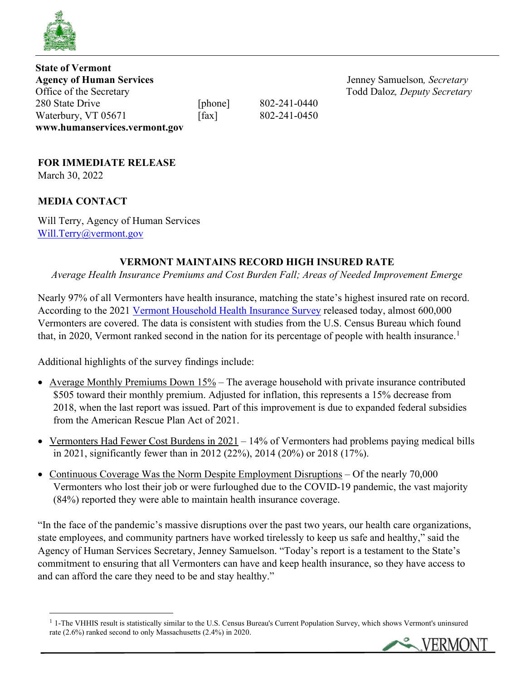

**State of Vermont Agency of Human Services**<br> **Agency of Human Services**<br> **Agency Samuelson**, *Secretary*<br> **Codd Daloz**, *Deputy Secretary* 280 State Drive [phone] 802-241-0440 Waterbury, VT 05671 [fax] 802-241-0450 **www.humanservices.vermont.gov** 

Todd Daloz, Deputy Secretary

# **FOR IMMEDIATE RELEASE**

March 30, 2022

# **MEDIA CONTACT**

Will Terry, Agency of Human Services [Will.Terry@vermont.gov](mailto:Will.Terry@vermont.gov) 

## **VERMONT MAINTAINS RECORD HIGH INSURED RATE**

*Average Health Insurance Premiums and Cost Burden Fall; Areas of Needed Improvement Emerge*

Nearly 97% of all Vermonters have health insurance, matching the state's highest insured rate on record. According to the 2021 [Vermont Household Health Insurance Survey](https://www.healthvermont.gov/sites/default/files/documents/pdf/HSVR-VHHIS-2021-Report.pdf) released today, almost 600,000 Vermonters are covered. The data is consistent with studies from the U.S. Census Bureau which found that, in 2020, Vermont ranked second in the nation for its percentage of people with health insurance.<sup>[1](#page-0-0)</sup>

Additional highlights of the survey findings include:

- Average Monthly Premiums Down  $15\%$  The average household with private insurance contributed \$505 toward their monthly premium. Adjusted for inflation, this represents a 15% decrease from 2018, when the last report was issued. Part of this improvement is due to expanded federal subsidies from the American Rescue Plan Act of 2021.
- Vermonters Had Fewer Cost Burdens in  $2021 14\%$  of Vermonters had problems paying medical bills in 2021, significantly fewer than in 2012 (22%), 2014 (20%) or 2018 (17%).
- Continuous Coverage Was the Norm Despite Employment Disruptions Of the nearly 70,000 Vermonters who lost their job or were furloughed due to the COVID-19 pandemic, the vast majority (84%) reported they were able to maintain health insurance coverage.

"In the face of the pandemic's massive disruptions over the past two years, our health care organizations, state employees, and community partners have worked tirelessly to keep us safe and healthy," said the Agency of Human Services Secretary, Jenney Samuelson. "Today's report is a testament to the State's commitment to ensuring that all Vermonters can have and keep health insurance, so they have access to and can afford the care they need to be and stay healthy."

<span id="page-0-0"></span> $<sup>1</sup>$  1-The VHHIS result is statistically similar to the U.S. Census Bureau's Current Population Survey, which shows Vermont's uninsured</sup> rate (2.6%) ranked second to only Massachusetts (2.4%) in 2020.

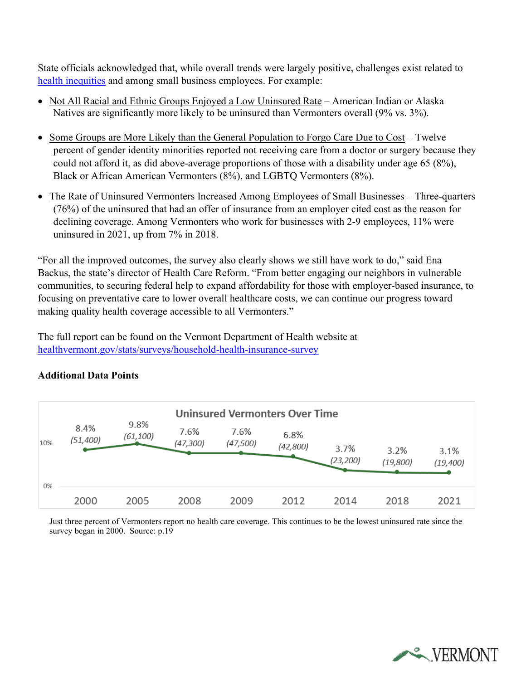State officials acknowledged that, while overall trends were largely positive, challenges exist related to [health inequities](https://www.healthvermont.gov/about-us/our-vision-mission/health-equity) and among small business employees. For example:

- Not All Racial and Ethnic Groups Enjoyed a Low Uninsured Rate American Indian or Alaska Natives are significantly more likely to be uninsured than Vermonters overall (9% vs. 3%).
- Some Groups are More Likely than the General Population to Forgo Care Due to Cost Twelve percent of gender identity minorities reported not receiving care from a doctor or surgery because they could not afford it, as did above-average proportions of those with a disability under age 65 (8%), Black or African American Vermonters (8%), and LGBTQ Vermonters (8%).
- The Rate of Uninsured Vermonters Increased Among Employees of Small Businesses Three-quarters (76%) of the uninsured that had an offer of insurance from an employer cited cost as the reason for declining coverage. Among Vermonters who work for businesses with 2-9 employees, 11% were uninsured in 2021, up from 7% in 2018.

"For all the improved outcomes, the survey also clearly shows we still have work to do," said Ena Backus, the state's director of Health Care Reform. "From better engaging our neighbors in vulnerable communities, to securing federal help to expand affordability for those with employer-based insurance, to focusing on preventative care to lower overall healthcare costs, we can continue our progress toward making quality health coverage accessible to all Vermonters."

The full report can be found on the Vermont Department of Health website at [healthvermont.gov/stats/surveys/household-health-insurance-survey](https://www.healthvermont.gov/stats/surveys/household-health-insurance-survey)



### **Additional Data Points**

Just three percent of Vermonters report no health care coverage. This continues to be the lowest uninsured rate since the survey began in 2000. Source: p.19